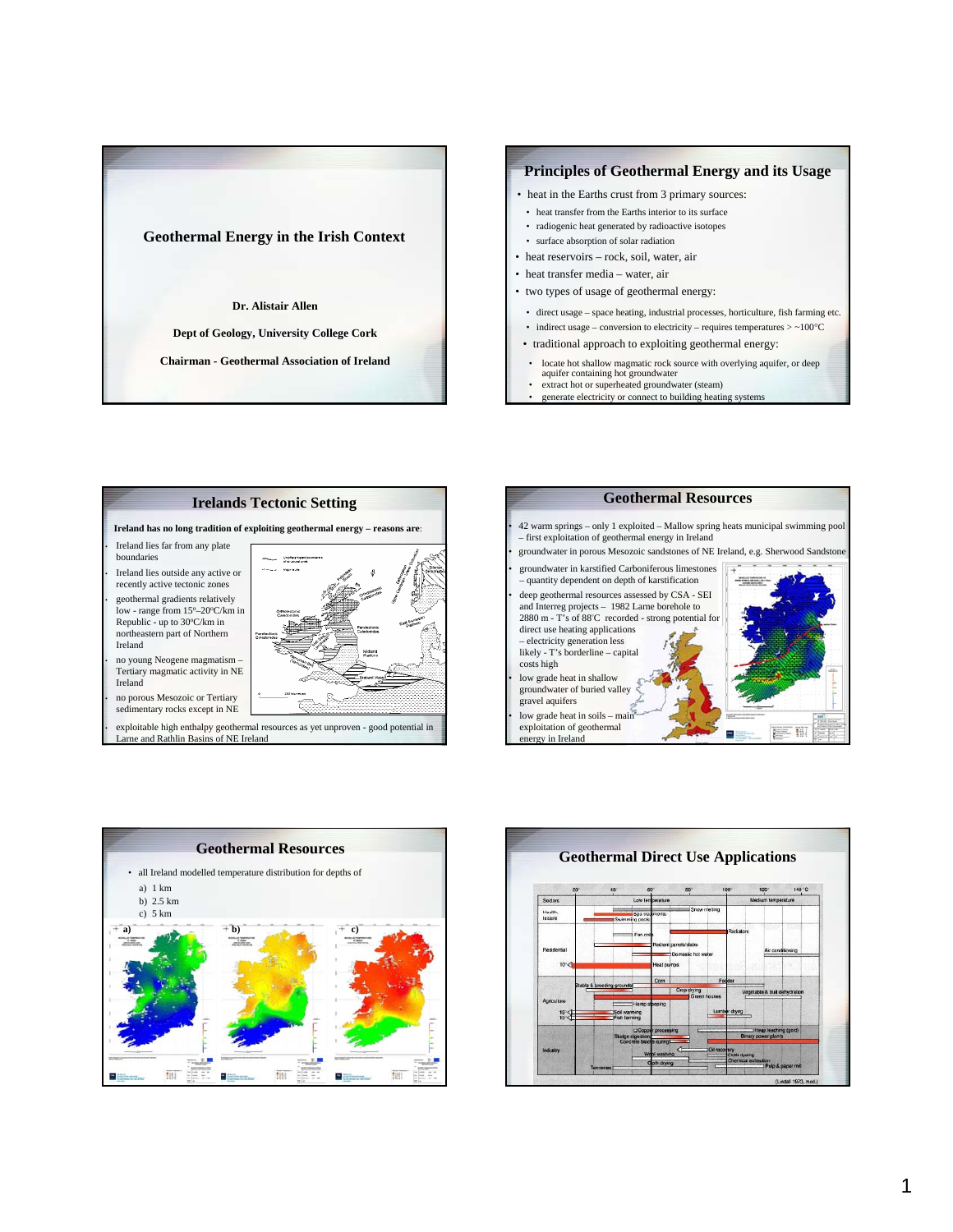

## **Principles of Geothermal Energy and its Usage** • locate hot shallow magmatic rock source with overlying aquifer, or deep aquifer containing hot groundwater • traditional approach to exploiting geothermal energy: • direct usage – space heating, industrial processes, horticulture, fish farming etc. • indirect usage – conversion to electricity – requires temperatures > ~100°C • heat transfer from the Earths interior to its surface • radiogenic heat generated by radioactive isotopes • surface absorption of solar radiation • heat in the Earths crust from 3 primary sources: • heat reservoirs – rock, soil, water, air  $\bullet$  heat transfer media – water, air • two types of usage of geothermal energy:

- extract hot or superheated groundwater (steam)
- generate electricity or connect to building heating systems







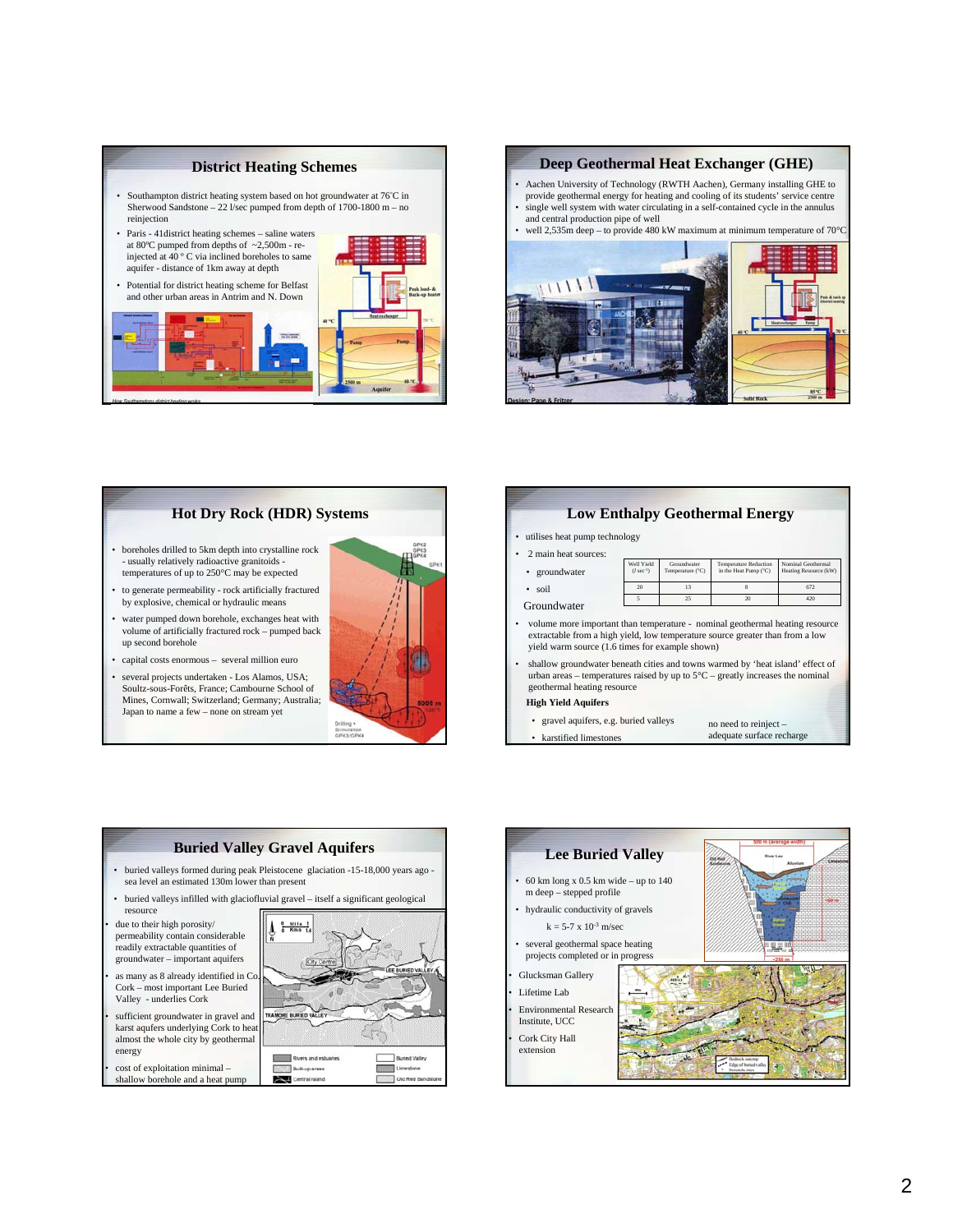## **District Heating Schemes**

• Southampton district heating system based on hot groundwater at 76° C in Sherwood Sandstone – 22 l/sec pumped from depth of 1700-1800 m – no reinjection



### **Deep Geothermal Heat Exchanger (GHE)**

- Aachen University of Technology (RWTH Aachen), Germany installing GHE to provide geothermal energy for heating and cooling of its students' service centre single well system with water circulating in a self-contained cycle in the annulus
- and central production pipe of well well 2,535m deep – to provide 480 kW maximum at minimum temperature of 70°C



## **Hot Dry Rock (HDR) Systems**

- boreholes drilled to 5km depth into crystalline rock - usually relatively radioactive granitoids temperatures of up to 250°C may be expected
- to generate permeability rock artificially fractured by explosive, chemical or hydraulic means
- water pumped down borehole, exchanges heat with volume of artificially fractured rock – pumped back up second borehole
- capital costs enormous several million euro
- several projects undertaken Los Alamos, USA; Soultz-sous-Forêts, France; Cambourne School of Mines, Cornwall; Switzerland; Germany; Australia; Japan to name a few – none on stream yet



| <b>Low Enthalpy Geothermal Energy</b>                                                                                                                                                                            |                               |                                                    |                                                       |                                             |
|------------------------------------------------------------------------------------------------------------------------------------------------------------------------------------------------------------------|-------------------------------|----------------------------------------------------|-------------------------------------------------------|---------------------------------------------|
| utilises heat pump technology                                                                                                                                                                                    |                               |                                                    |                                                       |                                             |
| 2 main heat sources:                                                                                                                                                                                             |                               |                                                    |                                                       |                                             |
| • groundwater                                                                                                                                                                                                    | Well Yield<br>$(l \sec^{-1})$ | Groundwater<br>Temperature (°C)                    | <b>Temperature Reduction</b><br>in the Heat Pump (°C) | Nominal Geothermal<br>Heating Resource (kW) |
| $\cdot$ soil                                                                                                                                                                                                     | 20                            | 13                                                 | $\mathbf{\hat{x}}$                                    | 672                                         |
| Groundwater                                                                                                                                                                                                      | $\overline{\mathbf{S}}$       | 25                                                 | 20                                                    | 420                                         |
| volume more important than temperature - nominal geothermal heating resource<br>extractable from a high yield, low temperature source greater than from a low<br>yield warm source (1.6 times for example shown) |                               |                                                    |                                                       |                                             |
| shallow groundwater beneath cities and towns warmed by 'heat island' effect of<br>urban areas – temperatures raised by up to $5^{\circ}$ C – greatly increases the nominal<br>geothermal heating resource        |                               |                                                    |                                                       |                                             |
| <b>High Yield Aquifers</b>                                                                                                                                                                                       |                               |                                                    |                                                       |                                             |
| • gravel aquifers, e.g. buried valleys                                                                                                                                                                           |                               | no need to reinject -<br>adequate surface recharge |                                                       |                                             |
| • karstified limestones                                                                                                                                                                                          |                               |                                                    |                                                       |                                             |



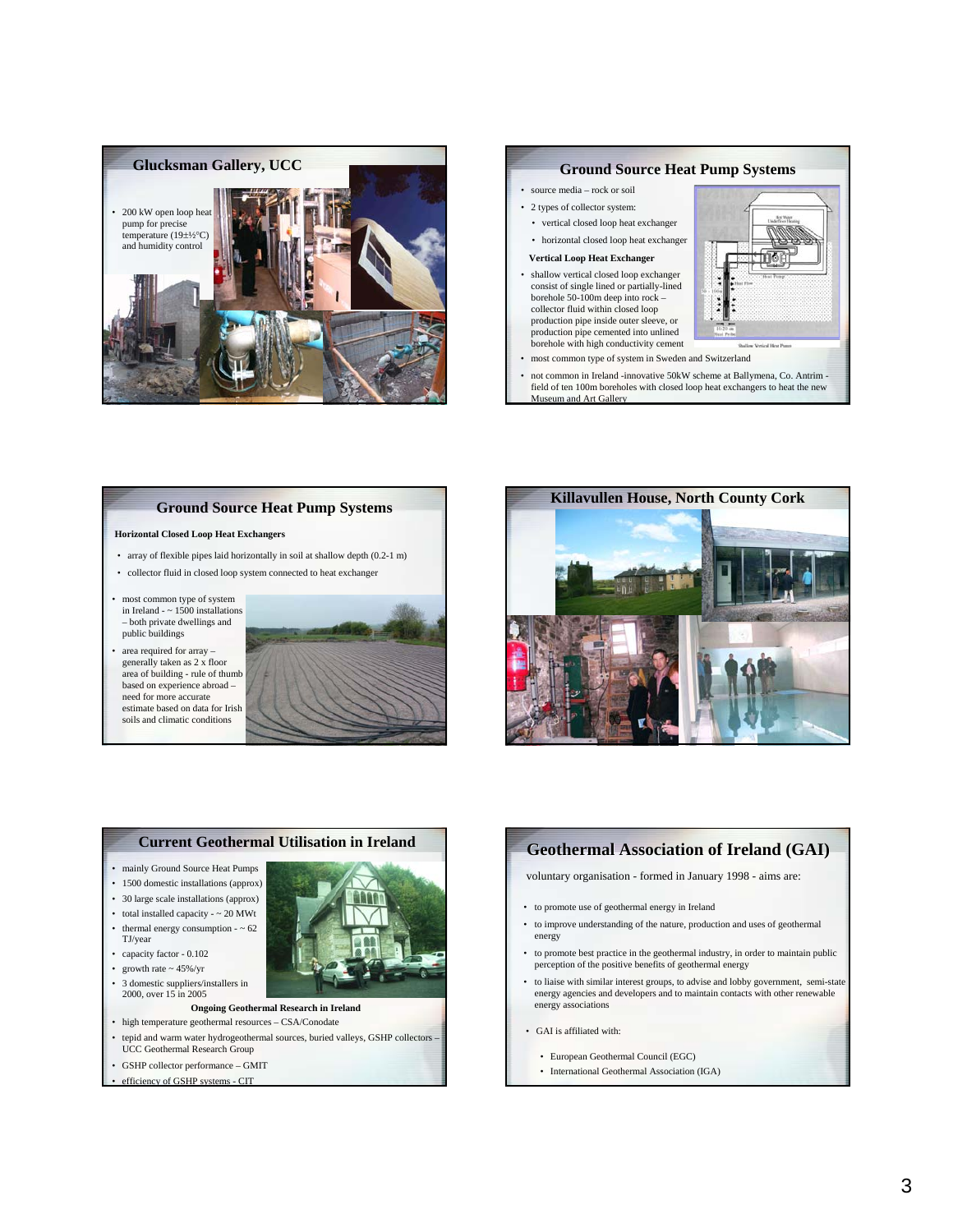



## **Ground Source Heat Pump Systems**

#### **Horizontal Closed Loop Heat Exchangers**

- array of flexible pipes laid horizontally in soil at shallow depth (0.2-1 m)
- collector fluid in closed loop system connected to heat exchanger
- most common type of system in Ireland -  $\approx 1500$  installations – both private dwellings and public buildings
- area required for array generally taken as 2 x floor area of building - rule of thumb based on experience abroad – need for more accurate estimate based on data for Irish soils and climatic conditions







# **Geothermal Association of Ireland (GAI) Geothermal (GAI)**

voluntary organisation - formed in January 1998 - aims are:

- to promote use of geothermal energy in Ireland
- to improve understanding of the nature, production and uses of geothermal energy
- to promote best practice in the geothermal industry, in order to maintain public perception of the positive benefits of geothermal energy
- to liaise with similar interest groups, to advise and lobby government, semi-state energy agencies and developers and to maintain contacts with other renewable energy associations
- GAI is affiliated with:
	- European Geothermal Council (EGC)
	- International Geothermal Association (IGA)